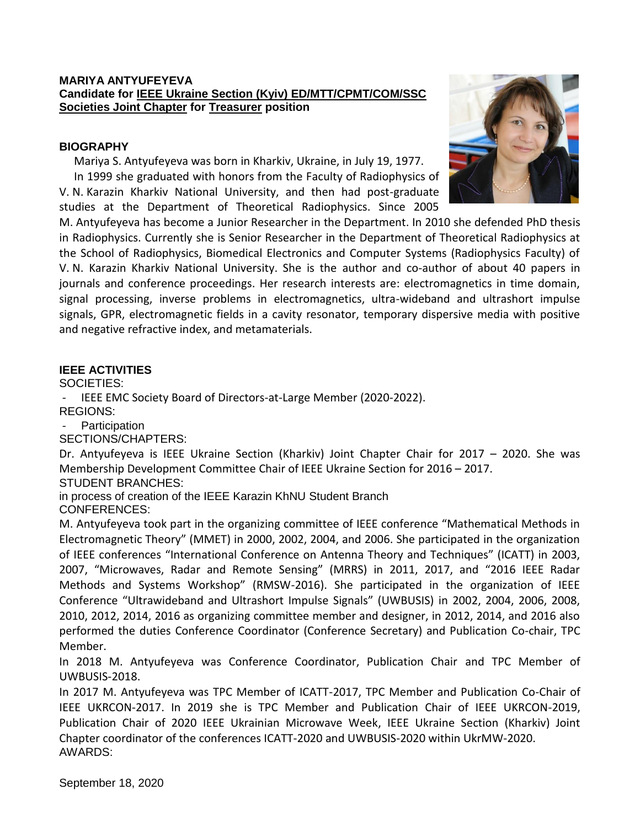### **MARIYA ANTYUFEYEVA Candidate for IEEE Ukraine Section (Kyiv) ED/MTT/CPMT/COM/SSC Societies Joint Chapter for Treasurer position**

### **BIOGRAPHY**

Mariya S. Antyufeyeva was born in Kharkiv, Ukraine, in July 19, 1977. In 1999 she graduated with honors from the Faculty of Radiophysics of V. N. Karazin Kharkiv National University, and then had post-graduate studies at the Department of Theoretical Radiophysics. Since 2005



M. Antyufeyeva has become a Junior Researcher in the Department. In 2010 she defended PhD thesis in Radiophysics. Currently she is Senior Researcher in the Department of Theoretical Radiophysics at the School of Radiophysics, Biomedical Electronics and Computer Systems (Radiophysics Faculty) of V. N. Karazin Kharkiv National University. She is the author and co-author of about 40 papers in journals and conference proceedings. Her research interests are: electromagnetics in time domain, signal processing, inverse problems in electromagnetics, ultra-wideband and ultrashort impulse signals, GPR, electromagnetic fields in a cavity resonator, temporary dispersive media with positive and negative refractive index, and metamaterials.

## **IEEE ACTIVITIES**

SOCIETIES:

- IEEE EMC Society Board of Directors-at-Large Member (2020-2022).

REGIONS:

**Participation** 

SECTIONS/CHAPTERS:

Dr. Antyufeyeva is IEEE Ukraine Section (Kharkiv) Joint Chapter Chair for 2017 – 2020. She was Membership Development Committee Chair of IEEE Ukraine Section for 2016 – 2017.

STUDENT BRANCHES:

in process of creation of the IEEE Karazin KhNU Student Branch CONFERENCES:

M. Antyufeyeva took part in the organizing committee of IEEE conference "Mathematical Methods in Electromagnetic Theory" (MMET) in 2000, 2002, 2004, and 2006. She participated in the organization of IEEE conferences "International Conference on Antenna Theory and Techniques" (ICATT) in 2003, 2007, "Microwaves, Radar and Remote Sensing" (MRRS) in 2011, 2017, and "2016 IEEE Radar Methods and Systems Workshop" (RMSW-2016). She participated in the organization of IEEE Conference "Ultrawideband and Ultrashort Impulse Signals" (UWBUSIS) in 2002, 2004, 2006, 2008, 2010, 2012, 2014, 2016 as organizing committee member and designer, in 2012, 2014, and 2016 also performed the duties Conference Coordinator (Conference Secretary) and Publication Co-chair, TPC Member.

In 2018 M. Antyufeyeva was Conference Coordinator, Publication Chair and TPC Member of UWBUSIS-2018.

In 2017 M. Antyufeyeva was TPC Member of ICATT-2017, TPC Member and Publication Co-Chair of IEEE UKRCON-2017. In 2019 she is TPC Member and Publication Chair of IEEE UKRCON-2019, Publication Chair of 2020 IEEE Ukrainian Microwave Week, IEEE Ukraine Section (Kharkiv) Joint Chapter coordinator of the conferences ICATT-2020 and UWBUSIS-2020 within UkrMW-2020. AWARDS: